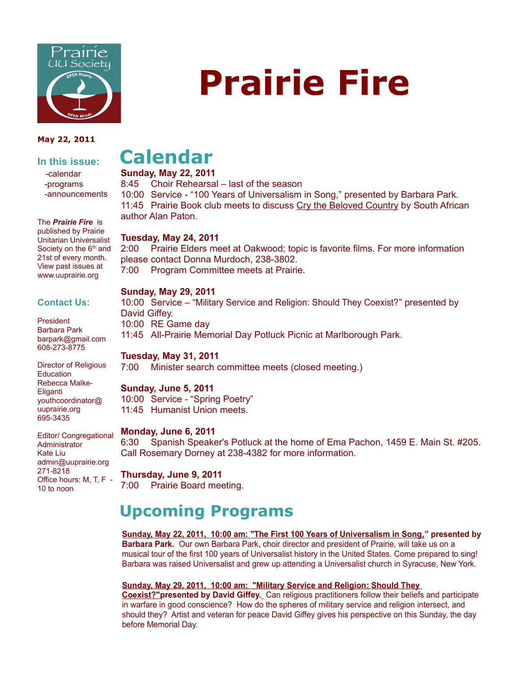

#### **May 22, 2011**

#### **In this issue:** -calendar

 -programs -announcements

The *Prairie Fire* is published by Prairie Unitarian Universalist Society on the 6<sup>th</sup> and 21st of every month. View past issues at www.uuprairie.org

#### **Contact Us:**

President Barbara Park barpark@gmail.com 608-273-8775

Director of Religious **Education** Rebecca Malke-Eliganti youthcoordinator@ uuprairie.org 695-3435

Editor/ Congregational Administrator Kate Liu admin@uuprairie.org 271-8218 Office hours: M, T, F - 10 to noon

# **Calendar**

**Sunday, May 22, 2011**

8:45 Choir Rehearsal – last of the season 10:00 Service - "100 Years of Universalism in Song," presented by Barbara Park. 11:45 Prairie Book club meets to discuss Cry the Beloved Country by South African author Alan Paton.

#### **Tuesday, May 24, 2011**

2:00 Prairie Elders meet at Oakwood; topic is favorite films. For more information please contact Donna Murdoch, 238-3802. 7:00 Program Committee meets at Prairie.

#### **Sunday, May 29, 2011**

10:00 Service – "Military Service and Religion: Should They Coexist?" presented by David Giffey. 10:00 RE Game day 11:45 All-Prairie Memorial Day Potluck Picnic at Marlborough Park.

#### **Tuesday, May 31, 2011**

7:00 Minister search committee meets (closed meeting.)

#### **Sunday, June 5, 2011**

10:00 Service - "Spring Poetry" 11:45 Humanist Union meets.

#### **Monday, June 6, 2011**

6:30 Spanish Speaker's Potluck at the home of Ema Pachon, 1459 E. Main St. #205. Call Rosemary Dorney at 238-4382 for more information.

#### **Thursday, June 9, 2011** 7:00 Prairie Board meeting.

## **Upcoming Programs**

**Sunday, May 22, 2011, 10:00 am: "The First 100 Years of Universalism in Song," presented by Barbara Park.** Our own Barbara Park, choir director and president of Prairie, will take us on a musical tour of the first 100 years of Universalist history in the United States. Come prepared to sing! Barbara was raised Universalist and grew up attending a Universalist church in Syracuse, New York.

#### **Sunday, May 29, 2011, 10:00 am: "Military Service and Religion: Should They**

**Coexist?"presented by David Giffey.** Can religious practitioners follow their beliefs and participate in warfare in good conscience? How do the spheres of military service and religion intersect, and should they? Artist and veteran for peace David Giffey gives his perspective on this Sunday, the day before Memorial Day.

# **Prairie Fire**